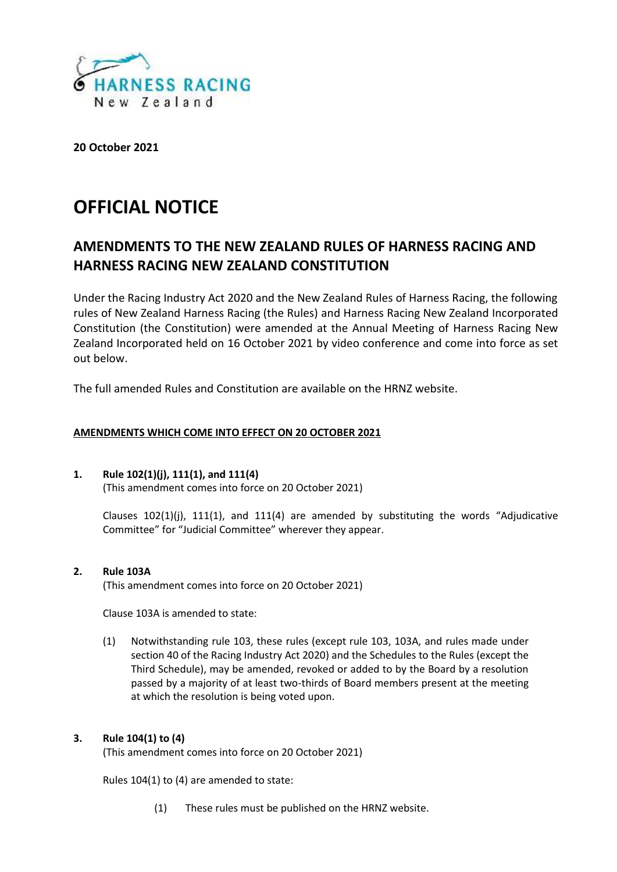

**20 October 2021**

# **OFFICIAL NOTICE**

# **AMENDMENTS TO THE NEW ZEALAND RULES OF HARNESS RACING AND HARNESS RACING NEW ZEALAND CONSTITUTION**

Under the Racing Industry Act 2020 and the New Zealand Rules of Harness Racing, the following rules of New Zealand Harness Racing (the Rules) and Harness Racing New Zealand Incorporated Constitution (the Constitution) were amended at the Annual Meeting of Harness Racing New Zealand Incorporated held on 16 October 2021 by video conference and come into force as set out below.

The full amended Rules and Constitution are available on the HRNZ website.

# **AMENDMENTS WHICH COME INTO EFFECT ON 20 OCTOBER 2021**

# **1. Rule 102(1)(j), 111(1), and 111(4)** (This amendment comes into force on 20 October 2021)

Clauses  $102(1)(i)$ ,  $111(1)$ , and  $111(4)$  are amended by substituting the words "Adjudicative Committee" for "Judicial Committee" wherever they appear.

# **2. Rule 103A**

(This amendment comes into force on 20 October 2021)

Clause 103A is amended to state:

(1) Notwithstanding rule 103, these rules (except rule 103, 103A, and rules made under section 40 of the Racing Industry Act 2020) and the Schedules to the Rules (except the Third Schedule), may be amended, revoked or added to by the Board by a resolution passed by a majority of at least two-thirds of Board members present at the meeting at which the resolution is being voted upon.

# **3. Rule 104(1) to (4)**

(This amendment comes into force on 20 October 2021)

Rules 104(1) to (4) are amended to state:

(1) These rules must be published on the HRNZ website.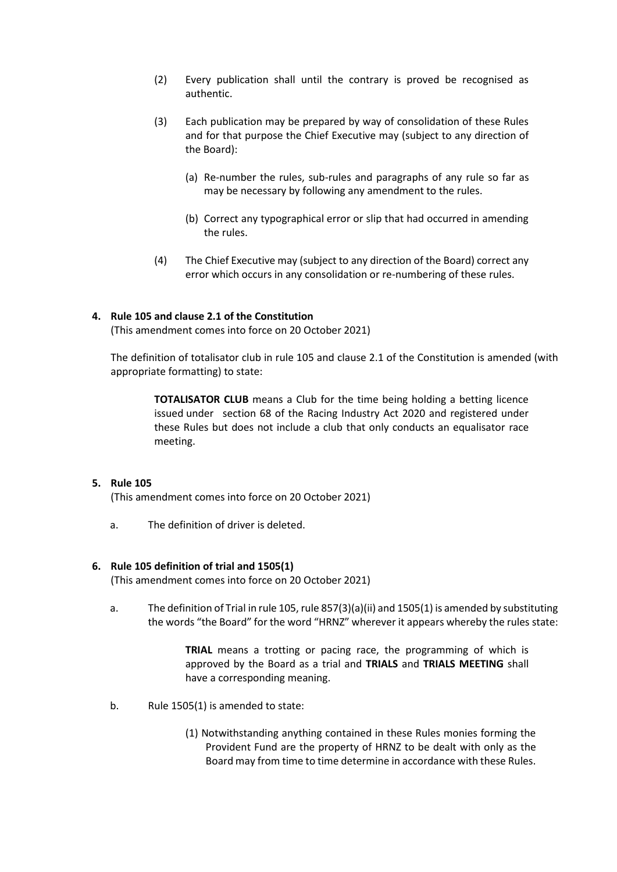- (2) Every publication shall until the contrary is proved be recognised as authentic.
- (3) Each publication may be prepared by way of consolidation of these Rules and for that purpose the Chief Executive may (subject to any direction of the Board):
	- (a) Re-number the rules, sub-rules and paragraphs of any rule so far as may be necessary by following any amendment to the rules.
	- (b) Correct any typographical error or slip that had occurred in amending the rules.
- (4) The Chief Executive may (subject to any direction of the Board) correct any error which occurs in any consolidation or re-numbering of these rules.

#### **4. Rule 105 and clause 2.1 of the Constitution**

(This amendment comes into force on 20 October 2021)

The definition of totalisator club in rule 105 and clause 2.1 of the Constitution is amended (with appropriate formatting) to state:

**TOTALISATOR CLUB** means a Club for the time being holding a betting licence issued under section 68 of the Racing Industry Act 2020 and registered under these Rules but does not include a club that only conducts an equalisator race meeting.

#### **5. Rule 105**

(This amendment comes into force on 20 October 2021)

a. The definition of driver is deleted.

#### **6. Rule 105 definition of trial and 1505(1)**

(This amendment comes into force on 20 October 2021)

a. The definition of Trial in rule 105, rule 857(3)(a)(ii) and 1505(1) is amended by substituting the words "the Board" for the word "HRNZ" wherever it appears whereby the rules state:

> **TRIAL** means a trotting or pacing race, the programming of which is approved by the Board as a trial and **TRIALS** and **TRIALS MEETING** shall have a corresponding meaning.

- b. Rule 1505(1) is amended to state:
	- (1) Notwithstanding anything contained in these Rules monies forming the Provident Fund are the property of HRNZ to be dealt with only as the Board may from time to time determine in accordance with these Rules.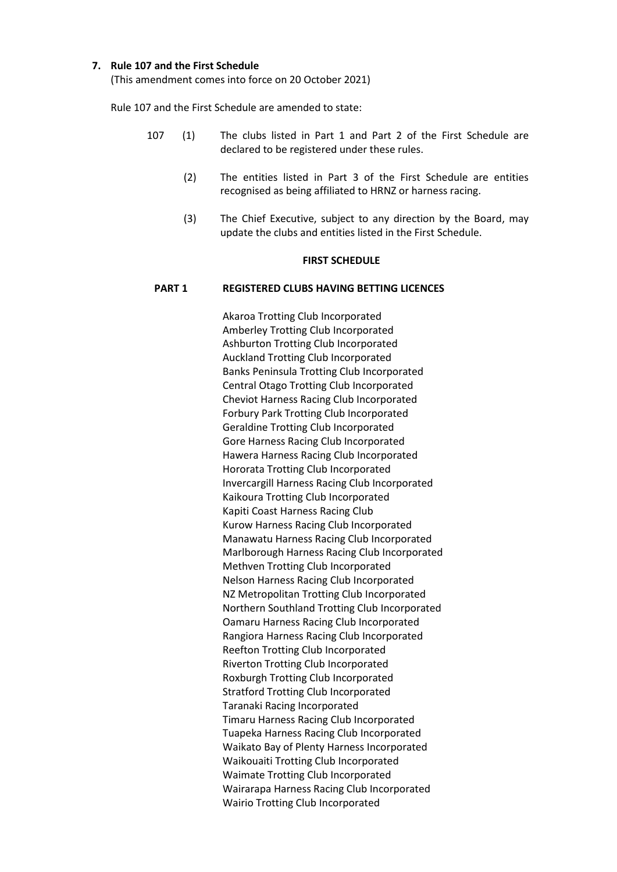#### **7. Rule 107 and the First Schedule**

(This amendment comes into force on 20 October 2021)

Rule 107 and the First Schedule are amended to state:

- 107 (1) The clubs listed in Part 1 and Part 2 of the First Schedule are declared to be registered under these rules.
	- (2) The entities listed in Part 3 of the First Schedule are entities recognised as being affiliated to HRNZ or harness racing.
	- (3) The Chief Executive, subject to any direction by the Board, may update the clubs and entities listed in the First Schedule.

#### **FIRST SCHEDULE**

#### **PART 1 REGISTERED CLUBS HAVING BETTING LICENCES**

Akaroa Trotting Club Incorporated Amberley Trotting Club Incorporated Ashburton Trotting Club Incorporated Auckland Trotting Club Incorporated Banks Peninsula Trotting Club Incorporated Central Otago Trotting Club Incorporated Cheviot Harness Racing Club Incorporated Forbury Park Trotting Club Incorporated Geraldine Trotting Club Incorporated Gore Harness Racing Club Incorporated Hawera Harness Racing Club Incorporated Hororata Trotting Club Incorporated Invercargill Harness Racing Club Incorporated Kaikoura Trotting Club Incorporated Kapiti Coast Harness Racing Club Kurow Harness Racing Club Incorporated Manawatu Harness Racing Club Incorporated Marlborough Harness Racing Club Incorporated Methven Trotting Club Incorporated Nelson Harness Racing Club Incorporated NZ Metropolitan Trotting Club Incorporated Northern Southland Trotting Club Incorporated Oamaru Harness Racing Club Incorporated Rangiora Harness Racing Club Incorporated Reefton Trotting Club Incorporated Riverton Trotting Club Incorporated Roxburgh Trotting Club Incorporated Stratford Trotting Club Incorporated Taranaki Racing Incorporated Timaru Harness Racing Club Incorporated Tuapeka Harness Racing Club Incorporated Waikato Bay of Plenty Harness Incorporated Waikouaiti Trotting Club Incorporated Waimate Trotting Club Incorporated Wairarapa Harness Racing Club Incorporated Wairio Trotting Club Incorporated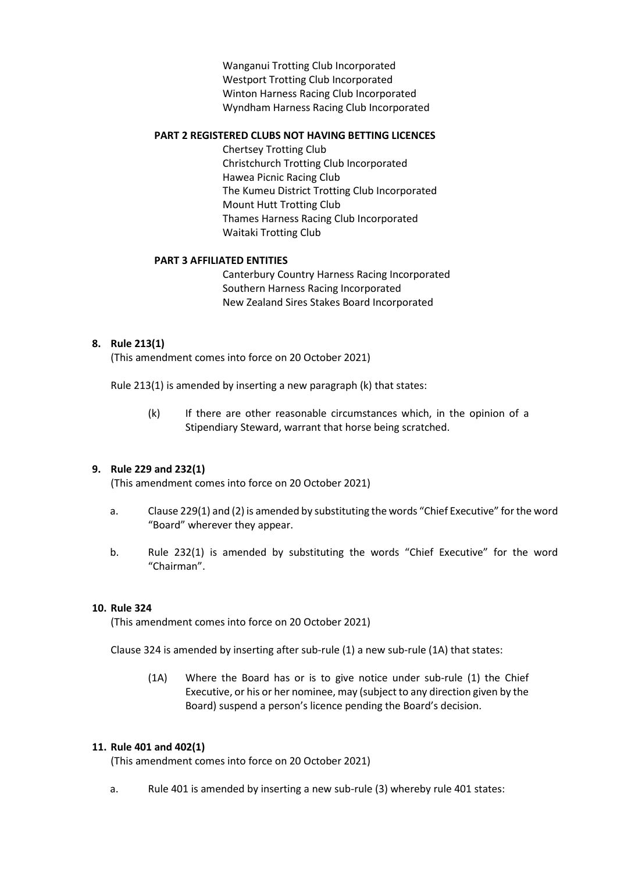Wanganui Trotting Club Incorporated Westport Trotting Club Incorporated Winton Harness Racing Club Incorporated Wyndham Harness Racing Club Incorporated

#### **PART 2 REGISTERED CLUBS NOT HAVING BETTING LICENCES**

Chertsey Trotting Club Christchurch Trotting Club Incorporated Hawea Picnic Racing Club The Kumeu District Trotting Club Incorporated Mount Hutt Trotting Club Thames Harness Racing Club Incorporated Waitaki Trotting Club

# **PART 3 AFFILIATED ENTITIES**

Canterbury Country Harness Racing Incorporated Southern Harness Racing Incorporated New Zealand Sires Stakes Board Incorporated

# **8. Rule 213(1)**

(This amendment comes into force on 20 October 2021)

Rule 213(1) is amended by inserting a new paragraph (k) that states:

(k) If there are other reasonable circumstances which, in the opinion of a Stipendiary Steward, warrant that horse being scratched.

# **9. Rule 229 and 232(1)**

(This amendment comes into force on 20 October 2021)

- a. Clause 229(1) and (2) is amended by substituting the words "Chief Executive" for the word "Board" wherever they appear.
- b. Rule 232(1) is amended by substituting the words "Chief Executive" for the word "Chairman".

# **10. Rule 324**

(This amendment comes into force on 20 October 2021)

Clause 324 is amended by inserting after sub-rule (1) a new sub-rule (1A) that states:

(1A) Where the Board has or is to give notice under sub-rule (1) the Chief Executive, or his or her nominee, may (subject to any direction given by the Board) suspend a person's licence pending the Board's decision.

# **11. Rule 401 and 402(1)**

(This amendment comes into force on 20 October 2021)

a. Rule 401 is amended by inserting a new sub-rule (3) whereby rule 401 states: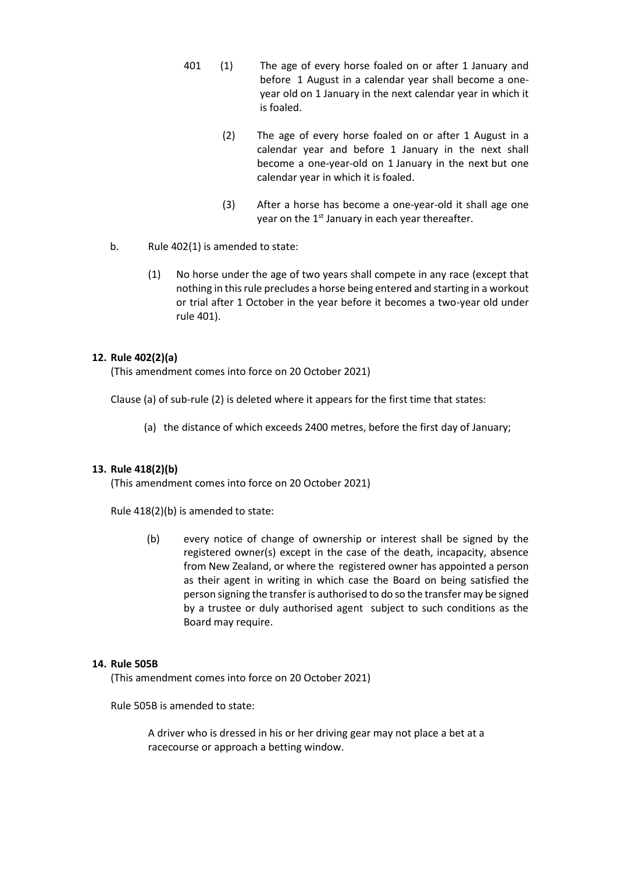- 401 (1) The age of every horse foaled on or after 1 January and before 1 August in a calendar year shall become a one year old on 1 January in the next calendar year in which it is foaled.
	- (2) The age of every horse foaled on or after 1 August in a calendar year and before 1 January in the next shall become a one-year-old on 1 January in the next but one calendar year in which it is foaled.
	- (3) After a horse has become a one-year-old it shall age one year on the  $1^{st}$  January in each year thereafter.
- b. Rule 402(1) is amended to state:
	- (1) No horse under the age of two years shall compete in any race (except that nothing in this rule precludes a horse being entered and starting in a workout or trial after 1 October in the year before it becomes a two-year old under rule 401).

# **12. Rule 402(2)(a)**

(This amendment comes into force on 20 October 2021)

Clause (a) of sub-rule (2) is deleted where it appears for the first time that states:

(a) the distance of which exceeds 2400 metres, before the first day of January;

# **13. Rule 418(2)(b)**

(This amendment comes into force on 20 October 2021)

Rule 418(2)(b) is amended to state:

(b) every notice of change of ownership or interest shall be signed by the registered owner(s) except in the case of the death, incapacity, absence from New Zealand, or where the registered owner has appointed a person as their agent in writing in which case the Board on being satisfied the person signing the transfer is authorised to do so the transfer may be signed by a trustee or duly authorised agent subject to such conditions as the Board may require.

#### **14. Rule 505B**

(This amendment comes into force on 20 October 2021)

Rule 505B is amended to state:

A driver who is dressed in his or her driving gear may not place a bet at a racecourse or approach a betting window.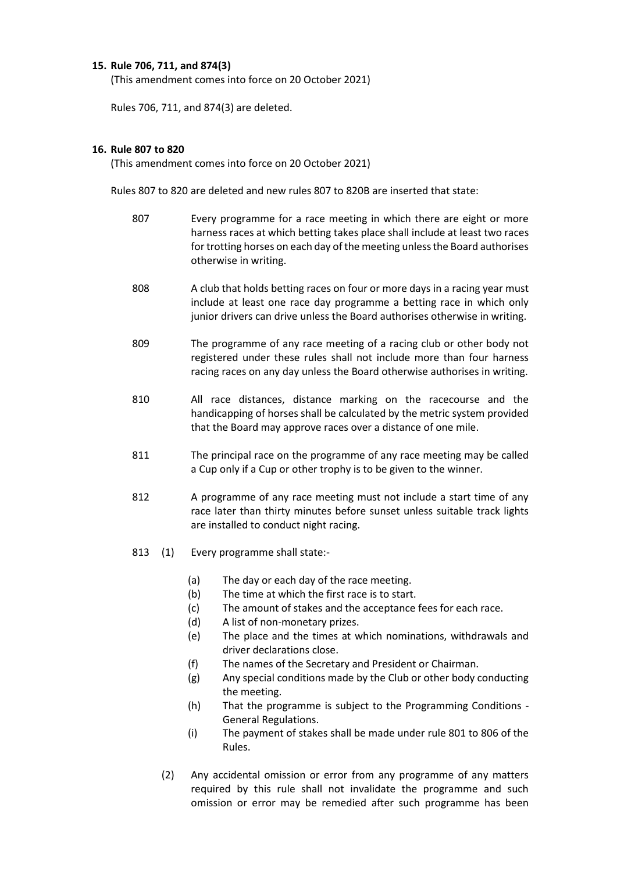# **15. Rule 706, 711, and 874(3)**

(This amendment comes into force on 20 October 2021)

Rules 706, 711, and 874(3) are deleted.

#### **16. Rule 807 to 820**

(This amendment comes into force on 20 October 2021)

Rules 807 to 820 are deleted and new rules 807 to 820B are inserted that state:

- 807 Every programme for a race meeting in which there are eight or more harness races at which betting takes place shall include at least two races for trotting horses on each day of the meeting unless the Board authorises otherwise in writing.
- 808 A club that holds betting races on four or more days in a racing year must include at least one race day programme a betting race in which only junior drivers can drive unless the Board authorises otherwise in writing.
- 809 The programme of any race meeting of a racing club or other body not registered under these rules shall not include more than four harness racing races on any day unless the Board otherwise authorises in writing.
- 810 All race distances, distance marking on the racecourse and the handicapping of horses shall be calculated by the metric system provided that the Board may approve races over a distance of one mile.
- 811 The principal race on the programme of any race meeting may be called a Cup only if a Cup or other trophy is to be given to the winner.
- 812 A programme of any race meeting must not include a start time of any race later than thirty minutes before sunset unless suitable track lights are installed to conduct night racing.
- 813 (1) Every programme shall state:-
	- (a) The day or each day of the race meeting.
	- (b) The time at which the first race is to start.
	- (c) The amount of stakes and the acceptance fees for each race.
	- (d) A list of non-monetary prizes.
	- (e) The place and the times at which nominations, withdrawals and driver declarations close.
	- (f) The names of the Secretary and President or Chairman.
	- (g) Any special conditions made by the Club or other body conducting the meeting.
	- (h) That the programme is subject to the Programming Conditions -General Regulations.
	- (i) The payment of stakes shall be made under rule 801 to 806 of the Rules.
	- (2) Any accidental omission or error from any programme of any matters required by this rule shall not invalidate the programme and such omission or error may be remedied after such programme has been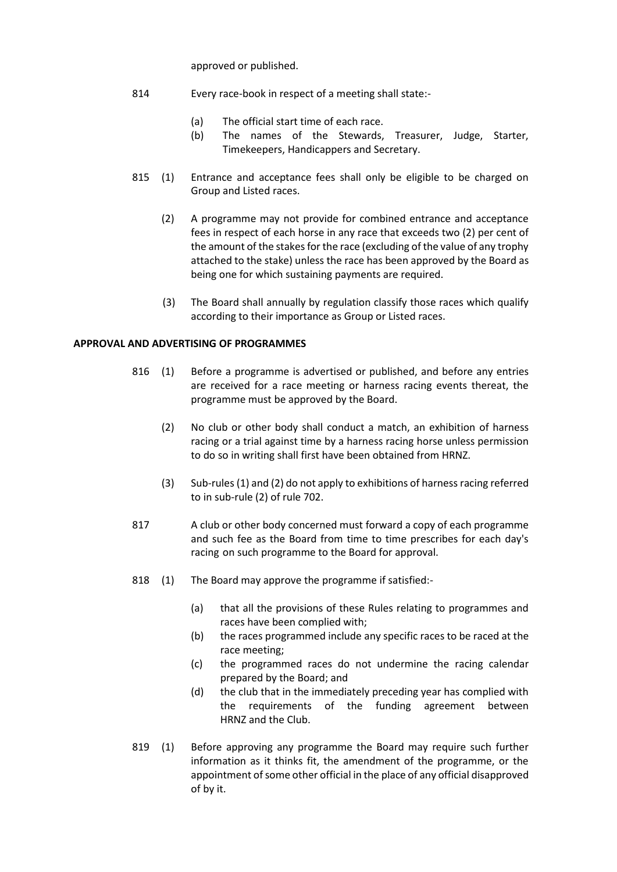approved or published.

- 814 Every race-book in respect of a meeting shall state:-
	- (a) The official start time of each race.
	- (b) The names of the Stewards, Treasurer, Judge, Starter, Timekeepers, Handicappers and Secretary.
- 815 (1) Entrance and acceptance fees shall only be eligible to be charged on Group and Listed races.
	- (2) A programme may not provide for combined entrance and acceptance fees in respect of each horse in any race that exceeds two (2) per cent of the amount of the stakes for the race (excluding of the value of any trophy attached to the stake) unless the race has been approved by the Board as being one for which sustaining payments are required.
	- (3) The Board shall annually by regulation classify those races which qualify according to their importance as Group or Listed races.

# **APPROVAL AND ADVERTISING OF PROGRAMMES**

- 816 (1) Before a programme is advertised or published, and before any entries are received for a race meeting or harness racing events thereat, the programme must be approved by the Board.
	- (2) No club or other body shall conduct a match, an exhibition of harness racing or a trial against time by a harness racing horse unless permission to do so in writing shall first have been obtained from HRNZ.
	- (3) Sub-rules (1) and (2) do not apply to exhibitions of harness racing referred to in sub-rule (2) of rule 702.
- 817 A club or other body concerned must forward a copy of each programme and such fee as the Board from time to time prescribes for each day's racing on such programme to the Board for approval.
- 818 (1) The Board may approve the programme if satisfied:-
	- (a) that all the provisions of these Rules relating to programmes and races have been complied with;
	- (b) the races programmed include any specific races to be raced at the race meeting;
	- (c) the programmed races do not undermine the racing calendar prepared by the Board; and
	- (d) the club that in the immediately preceding year has complied with the requirements of the funding agreement between HRNZ and the Club.
- 819 (1) Before approving any programme the Board may require such further information as it thinks fit, the amendment of the programme, or the appointment of some other official in the place of any official disapproved of by it.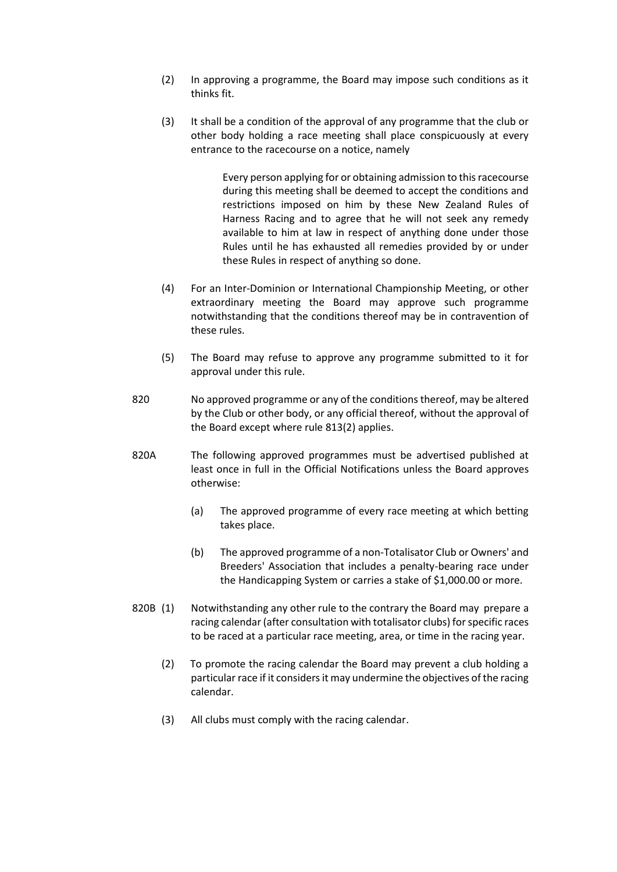- (2) In approving a programme, the Board may impose such conditions as it thinks fit.
- (3) It shall be a condition of the approval of any programme that the club or other body holding a race meeting shall place conspicuously at every entrance to the racecourse on a notice, namely

Every person applying for or obtaining admission to this racecourse during this meeting shall be deemed to accept the conditions and restrictions imposed on him by these New Zealand Rules of Harness Racing and to agree that he will not seek any remedy available to him at law in respect of anything done under those Rules until he has exhausted all remedies provided by or under these Rules in respect of anything so done.

- (4) For an Inter-Dominion or International Championship Meeting, or other extraordinary meeting the Board may approve such programme notwithstanding that the conditions thereof may be in contravention of these rules.
- (5) The Board may refuse to approve any programme submitted to it for approval under this rule.
- 820 No approved programme or any of the conditions thereof, may be altered by the Club or other body, or any official thereof, without the approval of the Board except where rule 813(2) applies.
- 820A The following approved programmes must be advertised published at least once in full in the Official Notifications unless the Board approves otherwise:
	- (a) The approved programme of every race meeting at which betting takes place.
	- (b) The approved programme of a non-Totalisator Club or Owners' and Breeders' Association that includes a penalty-bearing race under the Handicapping System or carries a stake of \$1,000.00 or more.
- 820B (1) Notwithstanding any other rule to the contrary the Board may prepare a racing calendar (after consultation with totalisator clubs) for specific races to be raced at a particular race meeting, area, or time in the racing year.
	- (2) To promote the racing calendar the Board may prevent a club holding a particular race if it considers it may undermine the objectives of the racing calendar.
	- (3) All clubs must comply with the racing calendar.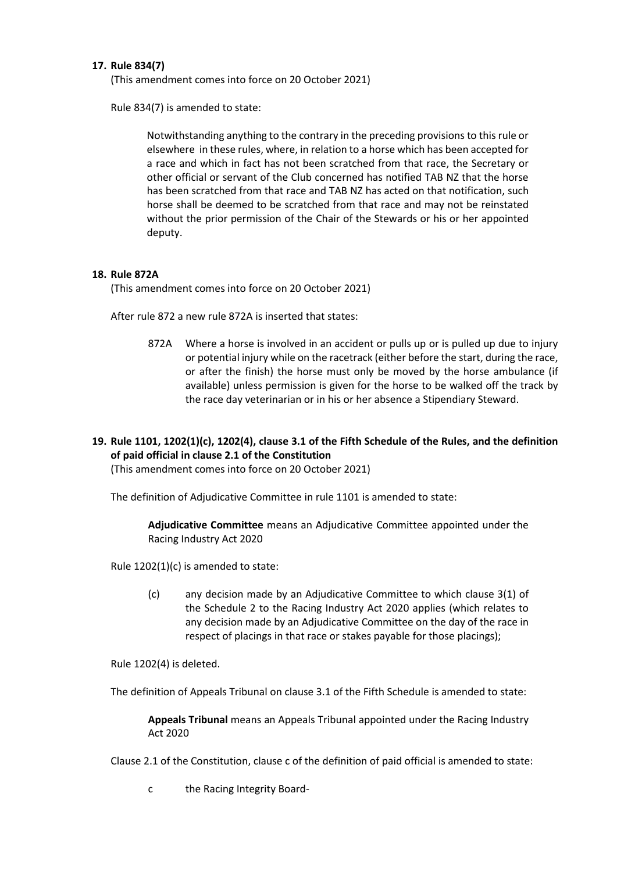# **17. Rule 834(7)**

(This amendment comes into force on 20 October 2021)

Rule 834(7) is amended to state:

Notwithstanding anything to the contrary in the preceding provisions to this rule or elsewhere in these rules, where, in relation to a horse which has been accepted for a race and which in fact has not been scratched from that race, the Secretary or other official or servant of the Club concerned has notified TAB NZ that the horse has been scratched from that race and TAB NZ has acted on that notification, such horse shall be deemed to be scratched from that race and may not be reinstated without the prior permission of the Chair of the Stewards or his or her appointed deputy.

# **18. Rule 872A**

(This amendment comes into force on 20 October 2021)

After rule 872 a new rule 872A is inserted that states:

872A Where a horse is involved in an accident or pulls up or is pulled up due to injury or potential injury while on the racetrack (either before the start, during the race, or after the finish) the horse must only be moved by the horse ambulance (if available) unless permission is given for the horse to be walked off the track by the race day veterinarian or in his or her absence a Stipendiary Steward.

# **19. Rule 1101, 1202(1)(c), 1202(4), clause 3.1 of the Fifth Schedule of the Rules, and the definition of paid official in clause 2.1 of the Constitution**

(This amendment comes into force on 20 October 2021)

The definition of Adjudicative Committee in rule 1101 is amended to state:

**Adjudicative Committee** means an Adjudicative Committee appointed under the Racing Industry Act 2020

Rule 1202(1)(c) is amended to state:

(c) any decision made by an Adjudicative Committee to which clause 3(1) of the Schedule 2 to the Racing Industry Act 2020 applies (which relates to any decision made by an Adjudicative Committee on the day of the race in respect of placings in that race or stakes payable for those placings);

Rule 1202(4) is deleted.

The definition of Appeals Tribunal on clause 3.1 of the Fifth Schedule is amended to state:

**Appeals Tribunal** means an Appeals Tribunal appointed under the Racing Industry Act 2020

Clause 2.1 of the Constitution, clause c of the definition of paid official is amended to state:

c the Racing Integrity Board-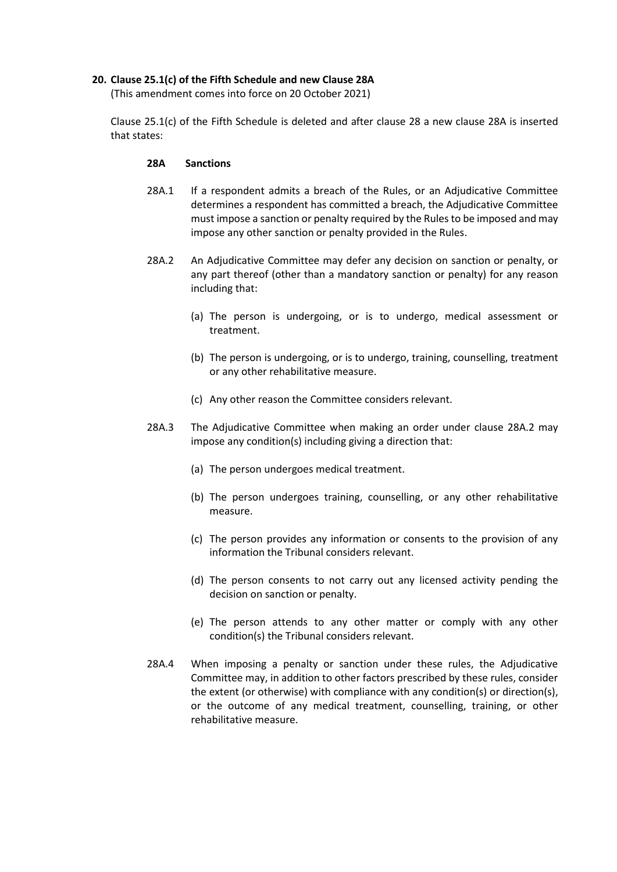# **20. Clause 25.1(c) of the Fifth Schedule and new Clause 28A**

(This amendment comes into force on 20 October 2021)

Clause 25.1(c) of the Fifth Schedule is deleted and after clause 28 a new clause 28A is inserted that states:

#### **28A Sanctions**

- 28A.1 If a respondent admits a breach of the Rules, or an Adjudicative Committee determines a respondent has committed a breach, the Adjudicative Committee must impose a sanction or penalty required by the Rules to be imposed and may impose any other sanction or penalty provided in the Rules.
- 28A.2 An Adjudicative Committee may defer any decision on sanction or penalty, or any part thereof (other than a mandatory sanction or penalty) for any reason including that:
	- (a) The person is undergoing, or is to undergo, medical assessment or treatment.
	- (b) The person is undergoing, or is to undergo, training, counselling, treatment or any other rehabilitative measure.
	- (c) Any other reason the Committee considers relevant.
- 28A.3 The Adjudicative Committee when making an order under clause 28A.2 may impose any condition(s) including giving a direction that:
	- (a) The person undergoes medical treatment.
	- (b) The person undergoes training, counselling, or any other rehabilitative measure.
	- (c) The person provides any information or consents to the provision of any information the Tribunal considers relevant.
	- (d) The person consents to not carry out any licensed activity pending the decision on sanction or penalty.
	- (e) The person attends to any other matter or comply with any other condition(s) the Tribunal considers relevant.
- 28A.4 When imposing a penalty or sanction under these rules, the Adjudicative Committee may, in addition to other factors prescribed by these rules, consider the extent (or otherwise) with compliance with any condition(s) or direction(s), or the outcome of any medical treatment, counselling, training, or other rehabilitative measure.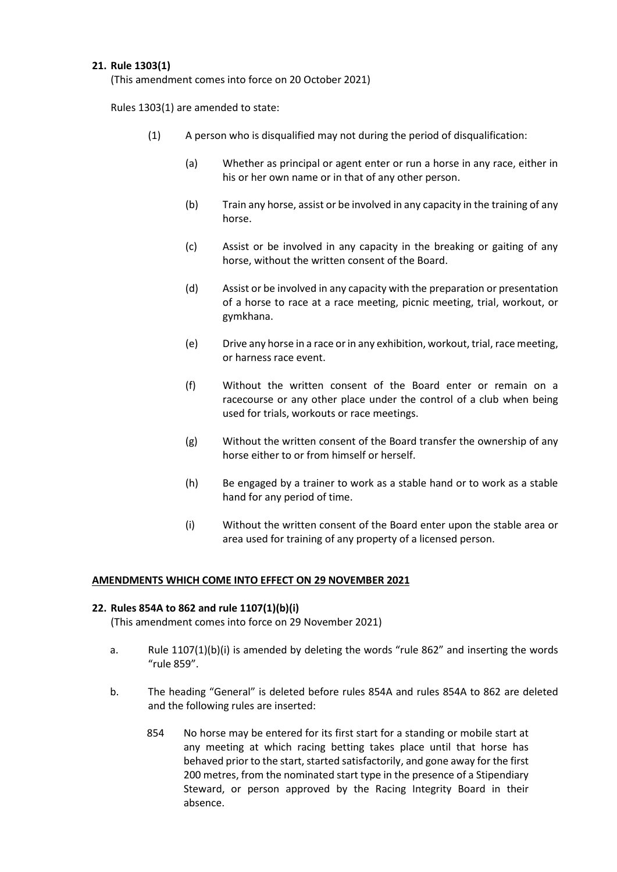# **21. Rule 1303(1)**

(This amendment comes into force on 20 October 2021)

Rules 1303(1) are amended to state:

- (1) A person who is disqualified may not during the period of disqualification:
	- (a) Whether as principal or agent enter or run a horse in any race, either in his or her own name or in that of any other person.
	- (b) Train any horse, assist or be involved in any capacity in the training of any horse.
	- (c) Assist or be involved in any capacity in the breaking or gaiting of any horse, without the written consent of the Board.
	- (d) Assist or be involved in any capacity with the preparation or presentation of a horse to race at a race meeting, picnic meeting, trial, workout, or gymkhana.
	- (e) Drive any horse in a race or in any exhibition, workout, trial, race meeting, or harness race event.
	- (f) Without the written consent of the Board enter or remain on a racecourse or any other place under the control of a club when being used for trials, workouts or race meetings.
	- (g) Without the written consent of the Board transfer the ownership of any horse either to or from himself or herself.
	- (h) Be engaged by a trainer to work as a stable hand or to work as a stable hand for any period of time.
	- (i) Without the written consent of the Board enter upon the stable area or area used for training of any property of a licensed person.

#### **AMENDMENTS WHICH COME INTO EFFECT ON 29 NOVEMBER 2021**

#### **22. Rules 854A to 862 and rule 1107(1)(b)(i)**

(This amendment comes into force on 29 November 2021)

- a. Rule  $1107(1)(b)(i)$  is amended by deleting the words "rule 862" and inserting the words "rule 859".
- b. The heading "General" is deleted before rules 854A and rules 854A to 862 are deleted and the following rules are inserted:
	- 854 No horse may be entered for its first start for a standing or mobile start at any meeting at which racing betting takes place until that horse has behaved prior to the start, started satisfactorily, and gone away for the first 200 metres, from the nominated start type in the presence of a Stipendiary Steward, or person approved by the Racing Integrity Board in their absence.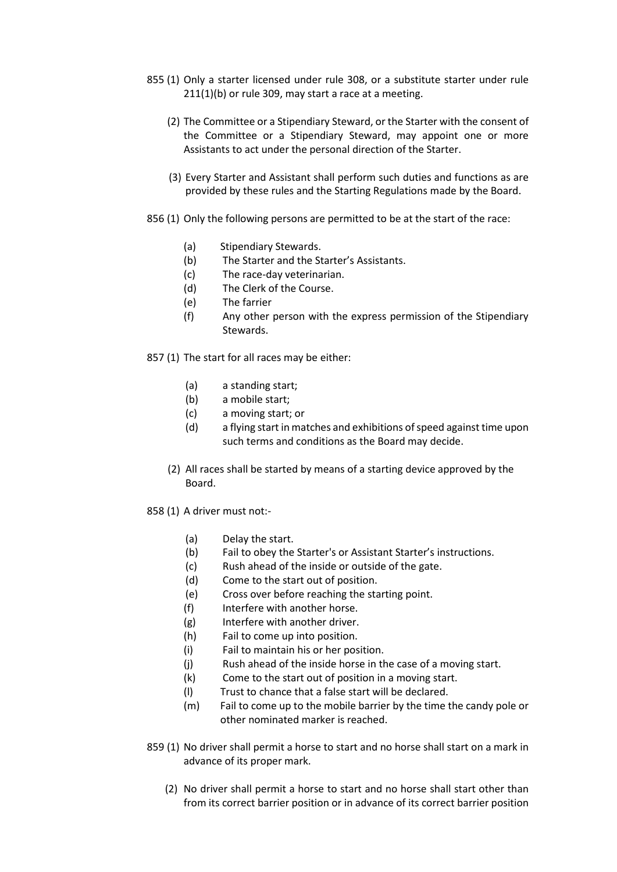- 855 (1) Only a starter licensed under rule 308, or a substitute starter under rule 211(1)(b) or rule 309, may start a race at a meeting.
	- (2) The Committee or a Stipendiary Steward, or the Starter with the consent of the Committee or a Stipendiary Steward, may appoint one or more Assistants to act under the personal direction of the Starter.
	- (3) Every Starter and Assistant shall perform such duties and functions as are provided by these rules and the Starting Regulations made by the Board.
- 856 (1) Only the following persons are permitted to be at the start of the race:
	- (a) Stipendiary Stewards.
	- (b) The Starter and the Starter's Assistants.
	- (c) The race-day veterinarian.
	- (d) The Clerk of the Course.
	- (e) The farrier
	- (f) Any other person with the express permission of the Stipendiary Stewards.
- 857 (1) The start for all races may be either:
	- (a) a standing start;
	- (b) a mobile start;
	- (c) a moving start; or
	- (d) a flying start in matches and exhibitions of speed against time upon such terms and conditions as the Board may decide.
	- (2) All races shall be started by means of a starting device approved by the Board.
- 858 (1) A driver must not:-
	- (a) Delay the start.
	- (b) Fail to obey the Starter's or Assistant Starter's instructions.
	- (c) Rush ahead of the inside or outside of the gate.
	- (d) Come to the start out of position.
	- (e) Cross over before reaching the starting point.
	- (f) Interfere with another horse.
	- (g) Interfere with another driver.
	- (h) Fail to come up into position.
	- (i) Fail to maintain his or her position.
	- (j) Rush ahead of the inside horse in the case of a moving start.
	- (k) Come to the start out of position in a moving start.
	- (l) Trust to chance that a false start will be declared.
	- (m) Fail to come up to the mobile barrier by the time the candy pole or other nominated marker is reached.
- 859 (1) No driver shall permit a horse to start and no horse shall start on a mark in advance of its proper mark.
	- (2) No driver shall permit a horse to start and no horse shall start other than from its correct barrier position or in advance of its correct barrier position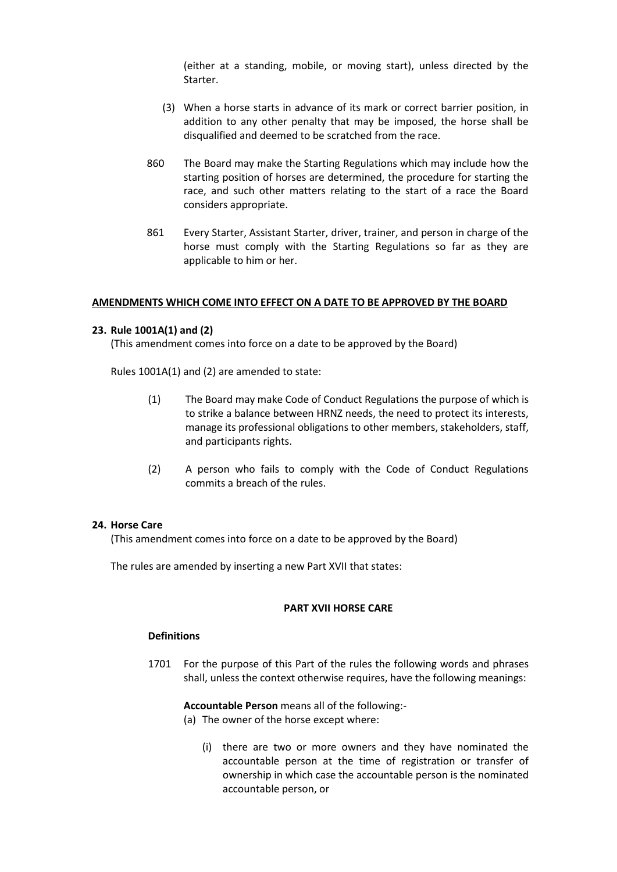(either at a standing, mobile, or moving start), unless directed by the Starter.

- (3) When a horse starts in advance of its mark or correct barrier position, in addition to any other penalty that may be imposed, the horse shall be disqualified and deemed to be scratched from the race.
- 860 The Board may make the Starting Regulations which may include how the starting position of horses are determined, the procedure for starting the race, and such other matters relating to the start of a race the Board considers appropriate.
- 861 Every Starter, Assistant Starter, driver, trainer, and person in charge of the horse must comply with the Starting Regulations so far as they are applicable to him or her.

#### **AMENDMENTS WHICH COME INTO EFFECT ON A DATE TO BE APPROVED BY THE BOARD**

#### **23. Rule 1001A(1) and (2)**

(This amendment comes into force on a date to be approved by the Board)

Rules 1001A(1) and (2) are amended to state:

- (1) The Board may make Code of Conduct Regulations the purpose of which is to strike a balance between HRNZ needs, the need to protect its interests, manage its professional obligations to other members, stakeholders, staff, and participants rights.
- (2) A person who fails to comply with the Code of Conduct Regulations commits a breach of the rules.

# **24. Horse Care**

(This amendment comes into force on a date to be approved by the Board)

The rules are amended by inserting a new Part XVII that states:

#### **PART XVII HORSE CARE**

#### **Definitions**

1701 For the purpose of this Part of the rules the following words and phrases shall, unless the context otherwise requires, have the following meanings:

**Accountable Person** means all of the following:-

- (a) The owner of the horse except where:
	- (i) there are two or more owners and they have nominated the accountable person at the time of registration or transfer of ownership in which case the accountable person is the nominated accountable person, or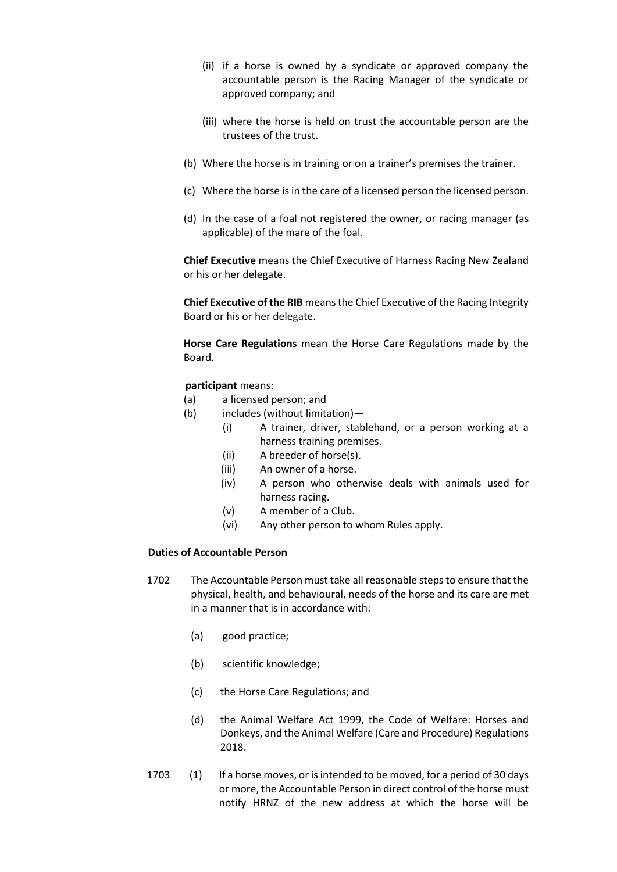- (ii) if a horse is owned by a syndicate or approved company the accountable person is the Racing Manager of the syndicate or approved company; and
- (iii) where the horse is held on trust the accountable person are the trustees of the trust.
- (b) Where the horse is in training or on a trainer's premises the trainer.
- (c) Where the horse is in the care of a licensed person the licensed person.
- (d) In the case of a foal not registered the owner, or racing manager (as applicable) of the mare of the foal.

**Chief Executive** means the Chief Executive of Harness Racing New Zealand or his or her delegate.

**Chief Executive of the RIB** means the Chief Executive of the Racing Integrity Board or his or her delegate.

**Horse Care Regulations** mean the Horse Care Regulations made by the Board.

# **participant** means:

- (a) a licensed person; and
- (b) includes (without limitation)—
	- (i) A trainer, driver, stablehand, or a person working at a harness training premises.
	- (ii) A breeder of horse(s).
	- (iii) An owner of a horse.
	- (iv) A person who otherwise deals with animals used for harness racing.
	- (v) A member of a Club.
	- (vi) Any other person to whom Rules apply.

# **Duties of Accountable Person**

- 1702 The Accountable Person must take all reasonable steps to ensure that the physical, health, and behavioural, needs of the horse and its care are met in a manner that is in accordance with:
	- (a) good practice;
	- (b) scientific knowledge;
	- (c) the Horse Care Regulations; and
	- (d) the Animal Welfare Act 1999, the Code of Welfare: Horses and Donkeys, and the Animal Welfare (Care and Procedure) Regulations 2018.
- 1703 (1) If a horse moves, or is intended to be moved, for a period of 30 days or more, the Accountable Person in direct control of the horse must notify HRNZ of the new address at which the horse will be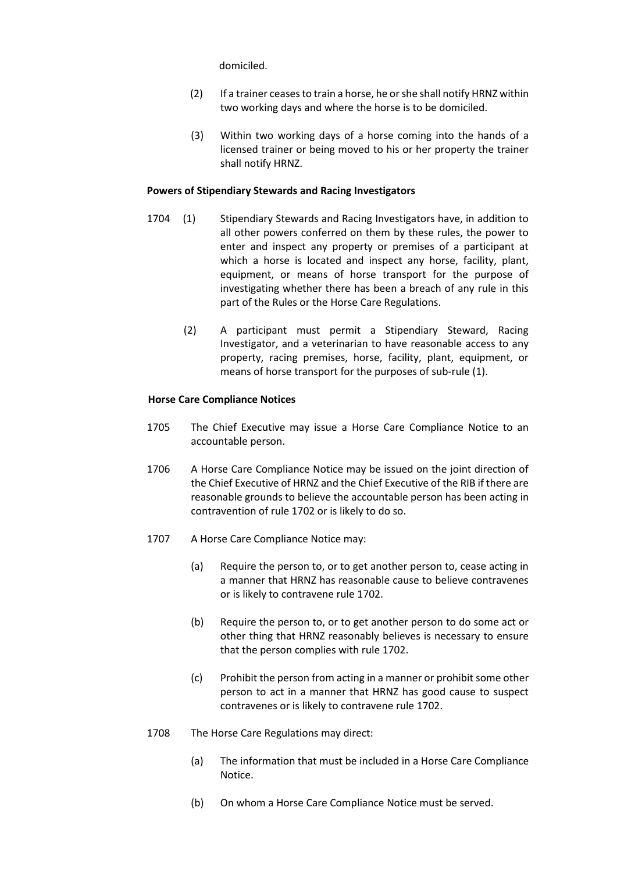domiciled.

- (2) If a trainer ceases to train a horse, he or she shall notify HRNZ within two working days and where the horse is to be domiciled.
- (3) Within two working days of a horse coming into the hands of a licensed trainer or being moved to his or her property the trainer shall notify HRNZ.

#### **Powers of Stipendiary Stewards and Racing Investigators**

- 1704 (1) Stipendiary Stewards and Racing Investigators have, in addition to all other powers conferred on them by these rules, the power to enter and inspect any property or premises of a participant at which a horse is located and inspect any horse, facility, plant, equipment, or means of horse transport for the purpose of investigating whether there has been a breach of any rule in this part of the Rules or the Horse Care Regulations.
	- (2) A participant must permit a Stipendiary Steward, Racing Investigator, and a veterinarian to have reasonable access to any property, racing premises, horse, facility, plant, equipment, or means of horse transport for the purposes of sub-rule (1).

#### **Horse Care Compliance Notices**

- 1705 The Chief Executive may issue a Horse Care Compliance Notice to an accountable person.
- 1706 A Horse Care Compliance Notice may be issued on the joint direction of the Chief Executive of HRNZ and the Chief Executive of the RIB if there are reasonable grounds to believe the accountable person has been acting in contravention of rule 1702 or is likely to do so.
- 1707 A Horse Care Compliance Notice may:
	- (a) Require the person to, or to get another person to, cease acting in a manner that HRNZ has reasonable cause to believe contravenes or is likely to contravene rule 1702.
	- (b) Require the person to, or to get another person to do some act or other thing that HRNZ reasonably believes is necessary to ensure that the person complies with rule 1702.
	- (c) Prohibit the person from acting in a manner or prohibit some other person to act in a manner that HRNZ has good cause to suspect contravenes or is likely to contravene rule 1702.
- 1708 The Horse Care Regulations may direct:
	- (a) The information that must be included in a Horse Care Compliance Notice.
	- (b) On whom a Horse Care Compliance Notice must be served.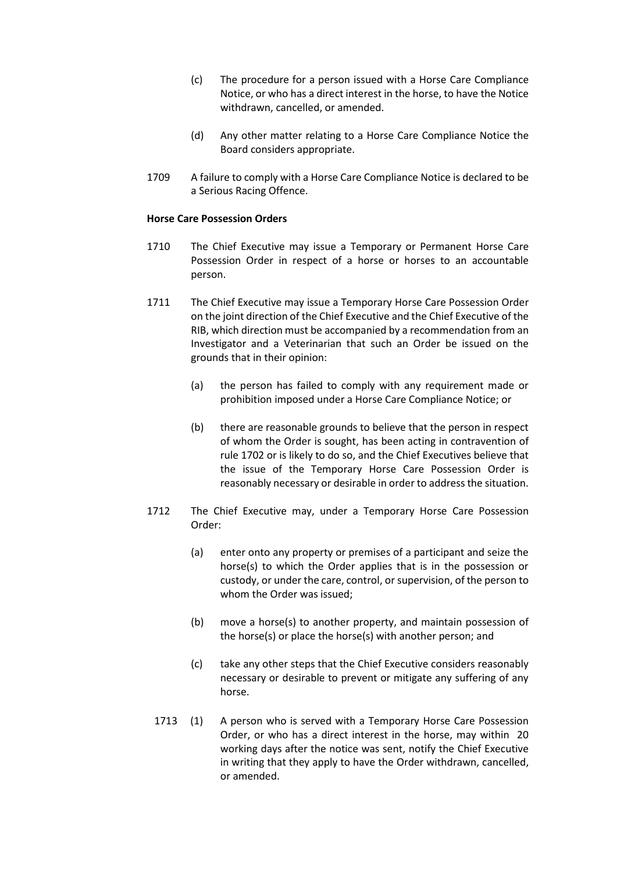- (c) The procedure for a person issued with a Horse Care Compliance Notice, or who has a direct interest in the horse, to have the Notice withdrawn, cancelled, or amended.
- (d) Any other matter relating to a Horse Care Compliance Notice the Board considers appropriate.
- 1709 A failure to comply with a Horse Care Compliance Notice is declared to be a Serious Racing Offence.

#### **Horse Care Possession Orders**

- 1710 The Chief Executive may issue a Temporary or Permanent Horse Care Possession Order in respect of a horse or horses to an accountable person.
- 1711 The Chief Executive may issue a Temporary Horse Care Possession Order on the joint direction of the Chief Executive and the Chief Executive of the RIB, which direction must be accompanied by a recommendation from an Investigator and a Veterinarian that such an Order be issued on the grounds that in their opinion:
	- (a) the person has failed to comply with any requirement made or prohibition imposed under a Horse Care Compliance Notice; or
	- (b) there are reasonable grounds to believe that the person in respect of whom the Order is sought, has been acting in contravention of rule 1702 or is likely to do so, and the Chief Executives believe that the issue of the Temporary Horse Care Possession Order is reasonably necessary or desirable in order to address the situation.
- 1712 The Chief Executive may, under a Temporary Horse Care Possession Order:
	- (a) enter onto any property or premises of a participant and seize the horse(s) to which the Order applies that is in the possession or custody, or under the care, control, or supervision, of the person to whom the Order was issued;
	- (b) move a horse(s) to another property, and maintain possession of the horse(s) or place the horse(s) with another person; and
	- (c) take any other steps that the Chief Executive considers reasonably necessary or desirable to prevent or mitigate any suffering of any horse.
	- 1713 (1) A person who is served with a Temporary Horse Care Possession Order, or who has a direct interest in the horse, may within 20 working days after the notice was sent, notify the Chief Executive in writing that they apply to have the Order withdrawn, cancelled, or amended.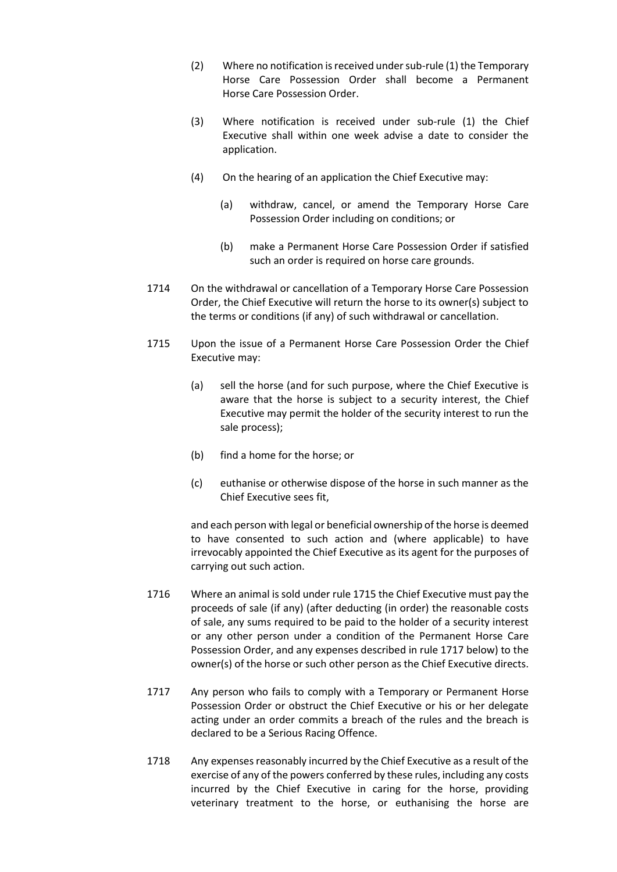- (2) Where no notification is received under sub-rule (1) the Temporary Horse Care Possession Order shall become a Permanent Horse Care Possession Order.
- (3) Where notification is received under sub-rule (1) the Chief Executive shall within one week advise a date to consider the application.
- (4) On the hearing of an application the Chief Executive may:
	- (a) withdraw, cancel, or amend the Temporary Horse Care Possession Order including on conditions; or
	- (b) make a Permanent Horse Care Possession Order if satisfied such an order is required on horse care grounds.
- 1714 On the withdrawal or cancellation of a Temporary Horse Care Possession Order, the Chief Executive will return the horse to its owner(s) subject to the terms or conditions (if any) of such withdrawal or cancellation.
- 1715 Upon the issue of a Permanent Horse Care Possession Order the Chief Executive may:
	- (a) sell the horse (and for such purpose, where the Chief Executive is aware that the horse is subject to a security interest, the Chief Executive may permit the holder of the security interest to run the sale process);
	- (b) find a home for the horse; or
	- (c) euthanise or otherwise dispose of the horse in such manner as the Chief Executive sees fit,

and each person with legal or beneficial ownership of the horse is deemed to have consented to such action and (where applicable) to have irrevocably appointed the Chief Executive as its agent for the purposes of carrying out such action.

- 1716 Where an animal is sold under rule 1715 the Chief Executive must pay the proceeds of sale (if any) (after deducting (in order) the reasonable costs of sale, any sums required to be paid to the holder of a security interest or any other person under a condition of the Permanent Horse Care Possession Order, and any expenses described in rule 1717 below) to the owner(s) of the horse or such other person as the Chief Executive directs.
- 1717 Any person who fails to comply with a Temporary or Permanent Horse Possession Order or obstruct the Chief Executive or his or her delegate acting under an order commits a breach of the rules and the breach is declared to be a Serious Racing Offence.
- 1718 Any expenses reasonably incurred by the Chief Executive as a result of the exercise of any of the powers conferred by these rules, including any costs incurred by the Chief Executive in caring for the horse, providing veterinary treatment to the horse, or euthanising the horse are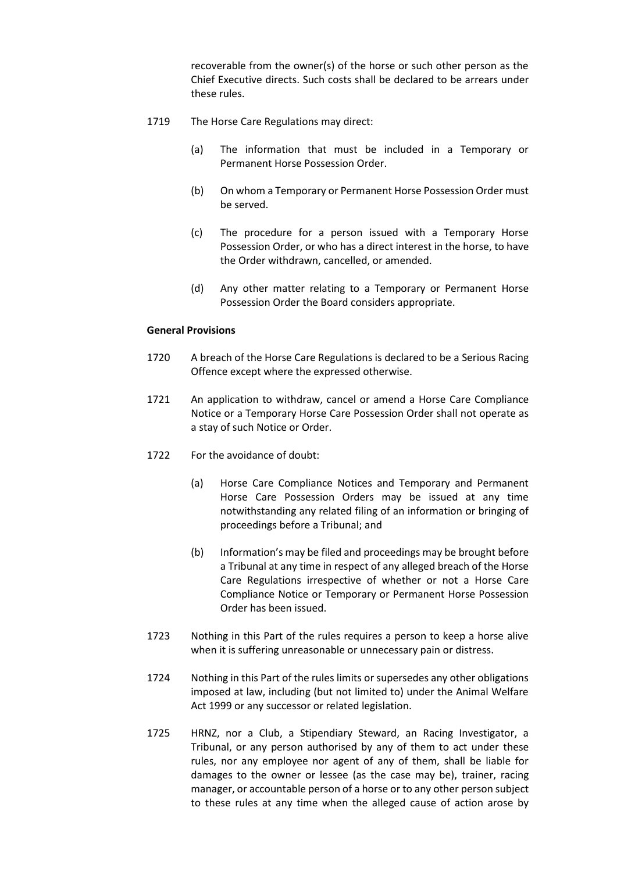recoverable from the owner(s) of the horse or such other person as the Chief Executive directs. Such costs shall be declared to be arrears under these rules.

- 1719 The Horse Care Regulations may direct:
	- (a) The information that must be included in a Temporary or Permanent Horse Possession Order.
	- (b) On whom a Temporary or Permanent Horse Possession Order must be served.
	- (c) The procedure for a person issued with a Temporary Horse Possession Order, or who has a direct interest in the horse, to have the Order withdrawn, cancelled, or amended.
	- (d) Any other matter relating to a Temporary or Permanent Horse Possession Order the Board considers appropriate.

#### **General Provisions**

- 1720 A breach of the Horse Care Regulations is declared to be a Serious Racing Offence except where the expressed otherwise.
- 1721 An application to withdraw, cancel or amend a Horse Care Compliance Notice or a Temporary Horse Care Possession Order shall not operate as a stay of such Notice or Order.
- 1722 For the avoidance of doubt:
	- (a) Horse Care Compliance Notices and Temporary and Permanent Horse Care Possession Orders may be issued at any time notwithstanding any related filing of an information or bringing of proceedings before a Tribunal; and
	- (b) Information's may be filed and proceedings may be brought before a Tribunal at any time in respect of any alleged breach of the Horse Care Regulations irrespective of whether or not a Horse Care Compliance Notice or Temporary or Permanent Horse Possession Order has been issued.
- 1723 Nothing in this Part of the rules requires a person to keep a horse alive when it is suffering unreasonable or unnecessary pain or distress.
- 1724 Nothing in this Part of the rules limits or supersedes any other obligations imposed at law, including (but not limited to) under the Animal Welfare Act 1999 or any successor or related legislation.
- 1725 HRNZ, nor a Club, a Stipendiary Steward, an Racing Investigator, a Tribunal, or any person authorised by any of them to act under these rules, nor any employee nor agent of any of them, shall be liable for damages to the owner or lessee (as the case may be), trainer, racing manager, or accountable person of a horse or to any other person subject to these rules at any time when the alleged cause of action arose by